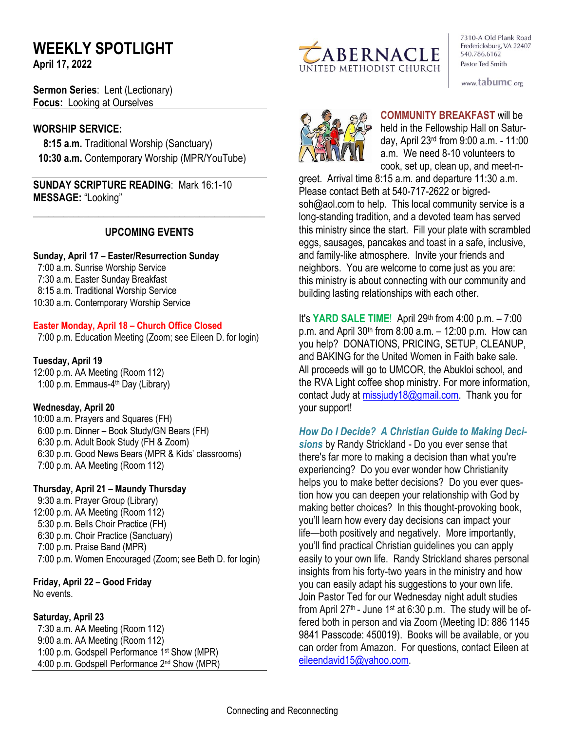# **WEEKLY SPOTLIGHT**

**April 17, 2022** 

**Sermon Series**: Lent (Lectionary) **Focus:** Looking at Ourselves

### **WORSHIP SERVICE:**

 **8:15 a.m.** Traditional Worship (Sanctuary)  **10:30 a.m.** Contemporary Worship (MPR/YouTube)

**SUNDAY SCRIPTURE READING**: Mark 16:1-10 **MESSAGE:** "Looking"

## **UPCOMING EVENTS**

\_\_\_\_\_\_\_\_\_\_\_\_\_\_\_\_\_\_\_\_\_\_\_\_\_\_\_\_\_\_\_\_\_\_\_\_\_\_\_\_\_\_\_\_\_\_

### **Sunday, April 17 – Easter/Resurrection Sunday**

7:00 a.m. Sunrise Worship Service 7:30 a.m. Easter Sunday Breakfast 8:15 a.m. Traditional Worship Service 10:30 a.m. Contemporary Worship Service

### **Easter Monday, April 18 – Church Office Closed**

7:00 p.m. Education Meeting (Zoom; see Eileen D. for login)

### **Tuesday, April 19**

12:00 p.m. AA Meeting (Room 112) 1:00 p.m. Emmaus-4<sup>th</sup> Day (Library)

### **Wednesday, April 20**

10:00 a.m. Prayers and Squares (FH) 6:00 p.m. Dinner – Book Study/GN Bears (FH) 6:30 p.m. Adult Book Study (FH & Zoom) 6:30 p.m. Good News Bears (MPR & Kids' classrooms) 7:00 p.m. AA Meeting (Room 112)

#### **Thursday, April 21 – Maundy Thursday**

9:30 a.m. Prayer Group (Library) 12:00 p.m. AA Meeting (Room 112) 5:30 p.m. Bells Choir Practice (FH) 6:30 p.m. Choir Practice (Sanctuary) 7:00 p.m. Praise Band (MPR) 7:00 p.m. Women Encouraged (Zoom; see Beth D. for login)

# **Friday, April 22 – Good Friday**

No events.

### **Saturday, April 23**

 7:30 a.m. AA Meeting (Room 112) 9:00 a.m. AA Meeting (Room 112) 1:00 p.m. Godspell Performance 1st Show (MPR) 4:00 p.m. Godspell Performance 2nd Show (MPR)



7310-A Old Plank Road Fredericksburg, VA 22407 540.786.6162 Pastor Ted Smith

www.tabumc.org



**COMMUNITY BREAKFAST** will be held in the Fellowship Hall on Saturday, April 23rd from 9:00 a.m. - 11:00 a.m. We need 8-10 volunteers to cook, set up, clean up, and meet-n-

greet. Arrival time 8:15 a.m. and departure 11:30 a.m. Please contact Beth at 540-717-2622 or bigredsoh@aol.com to help. This local community service is a long-standing tradition, and a devoted team has served this ministry since the start. Fill your plate with scrambled eggs, sausages, pancakes and toast in a safe, inclusive, and family-like atmosphere. Invite your friends and neighbors. You are welcome to come just as you are: this ministry is about connecting with our community and building lasting relationships with each other.

It's **YARD SALE TIME**! April 29th from 4:00 p.m. – 7:00 p.m. and April  $30<sup>th</sup>$  from  $8:00$  a.m.  $-12:00$  p.m. How can you help? DONATIONS, PRICING, SETUP, CLEANUP, and BAKING for the United Women in Faith bake sale. All proceeds will go to UMCOR, the Abukloi school, and the RVA Light coffee shop ministry. For more information, contact Judy at [missjudy18@gmail.com.](mailto:missjudy18@gmail.com) Thank you for your support!

*How Do I Decide? A Christian Guide to Making Deci-*

*sions* by Randy Strickland - Do you ever sense that there's far more to making a decision than what you're experiencing? Do you ever wonder how Christianity helps you to make better decisions? Do you ever question how you can deepen your relationship with God by making better choices? In this thought-provoking book, you'll learn how every day decisions can impact your life—both positively and negatively. More importantly, you'll find practical Christian guidelines you can apply easily to your own life. Randy Strickland shares personal insights from his forty-two years in the ministry and how you can easily adapt his suggestions to your own life. Join Pastor Ted for our Wednesday night adult studies from April 27<sup>th</sup> - June 1<sup>st</sup> at 6:30 p.m. The study will be offered both in person and via Zoom (Meeting ID: 886 1145 9841 Passcode: 450019). Books will be available, or you can order from Amazon. For questions, contact Eileen at [eileendavid15@yahoo.com.](mailto:eileendavid15@yahoo.com)